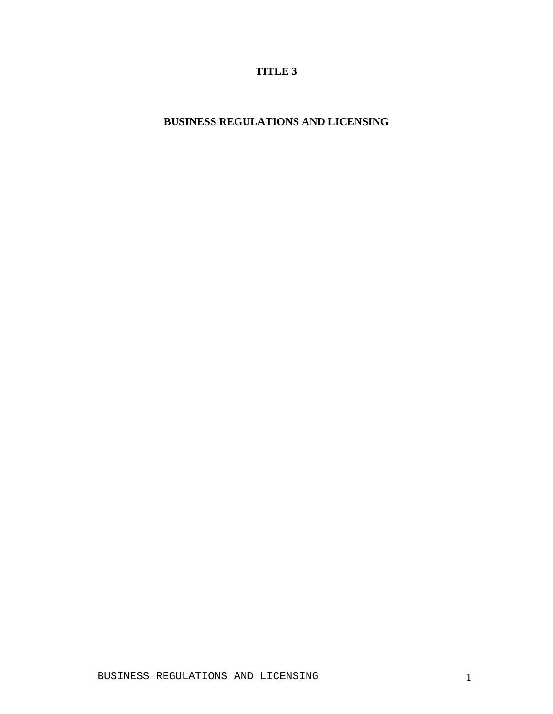# **TITLE 3**

# **BUSINESS REGULATIONS AND LICENSING**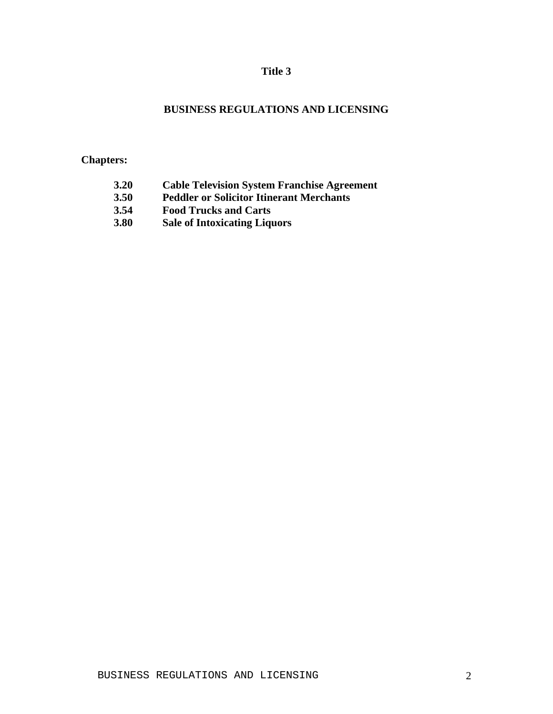## **Title 3**

## **BUSINESS REGULATIONS AND LICENSING**

## **Chapters:**

- **3.20 Cable Television System Franchise Agreement**
- **3.50 Peddler or Solicitor Itinerant Merchants**
- **3.54 Food Trucks and Carts**
- **3.80 Sale of Intoxicating Liquors**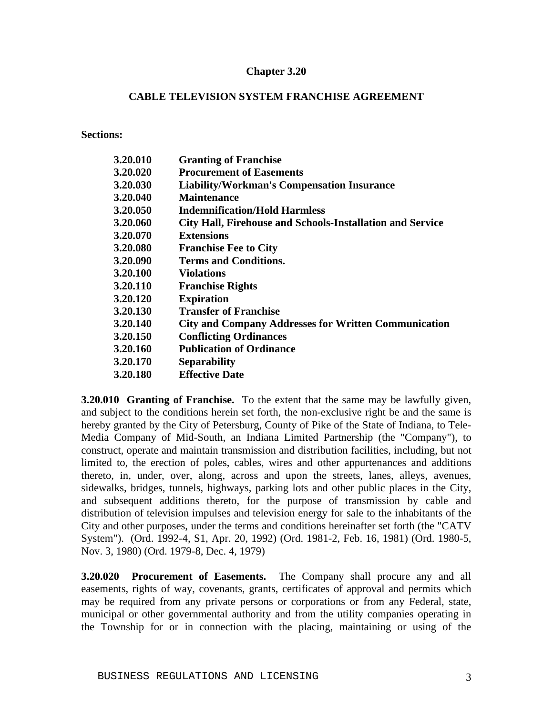#### **CABLE TELEVISION SYSTEM FRANCHISE AGREEMENT**

**Sections:**

| 3.20.010 | <b>Granting of Franchise</b>                                |
|----------|-------------------------------------------------------------|
| 3.20.020 | <b>Procurement of Easements</b>                             |
| 3.20.030 | <b>Liability/Workman's Compensation Insurance</b>           |
| 3.20.040 | <b>Maintenance</b>                                          |
| 3.20.050 | <b>Indemnification/Hold Harmless</b>                        |
| 3.20.060 | City Hall, Firehouse and Schools-Installation and Service   |
| 3.20.070 | <b>Extensions</b>                                           |
| 3.20.080 | <b>Franchise Fee to City</b>                                |
| 3.20.090 | <b>Terms and Conditions.</b>                                |
| 3.20.100 | <b>Violations</b>                                           |
| 3.20.110 | <b>Franchise Rights</b>                                     |
| 3.20.120 | <b>Expiration</b>                                           |
| 3.20.130 | <b>Transfer of Franchise</b>                                |
| 3.20.140 | <b>City and Company Addresses for Written Communication</b> |
| 3.20.150 | <b>Conflicting Ordinances</b>                               |
| 3.20.160 | <b>Publication of Ordinance</b>                             |
| 3.20.170 | <b>Separability</b>                                         |
| 3.20.180 | <b>Effective Date</b>                                       |
|          |                                                             |

**3.20.010 Granting of Franchise.** To the extent that the same may be lawfully given, and subject to the conditions herein set forth, the non-exclusive right be and the same is hereby granted by the City of Petersburg, County of Pike of the State of Indiana, to Tele-Media Company of Mid-South, an Indiana Limited Partnership (the "Company"), to construct, operate and maintain transmission and distribution facilities, including, but not limited to, the erection of poles, cables, wires and other appurtenances and additions thereto, in, under, over, along, across and upon the streets, lanes, alleys, avenues, sidewalks, bridges, tunnels, highways, parking lots and other public places in the City, and subsequent additions thereto, for the purpose of transmission by cable and distribution of television impulses and television energy for sale to the inhabitants of the City and other purposes, under the terms and conditions hereinafter set forth (the "CATV System"). (Ord. 1992-4, S1, Apr. 20, 1992) (Ord. 1981-2, Feb. 16, 1981) (Ord. 1980-5, Nov. 3, 1980) (Ord. 1979-8, Dec. 4, 1979)

**3.20.020 Procurement of Easements.** The Company shall procure any and all easements, rights of way, covenants, grants, certificates of approval and permits which may be required from any private persons or corporations or from any Federal, state, municipal or other governmental authority and from the utility companies operating in the Township for or in connection with the placing, maintaining or using of the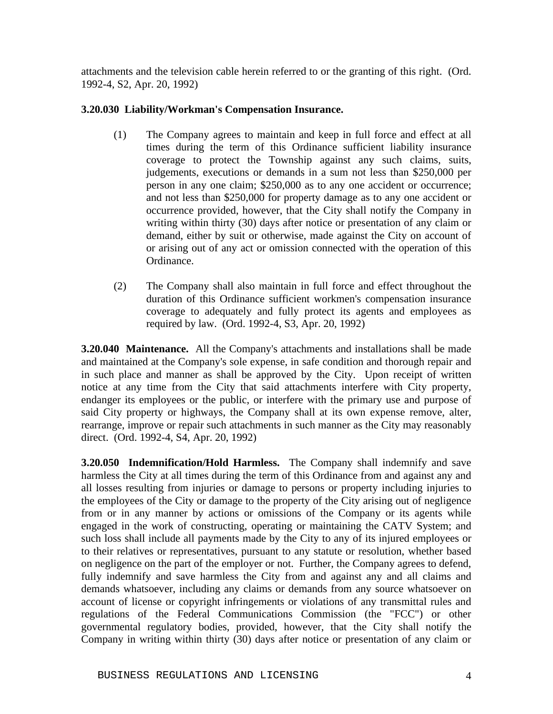attachments and the television cable herein referred to or the granting of this right. (Ord. 1992-4, S2, Apr. 20, 1992)

## **3.20.030 Liability/Workman's Compensation Insurance.**

- (1) The Company agrees to maintain and keep in full force and effect at all times during the term of this Ordinance sufficient liability insurance coverage to protect the Township against any such claims, suits, judgements, executions or demands in a sum not less than \$250,000 per person in any one claim; \$250,000 as to any one accident or occurrence; and not less than \$250,000 for property damage as to any one accident or occurrence provided, however, that the City shall notify the Company in writing within thirty (30) days after notice or presentation of any claim or demand, either by suit or otherwise, made against the City on account of or arising out of any act or omission connected with the operation of this Ordinance.
- (2) The Company shall also maintain in full force and effect throughout the duration of this Ordinance sufficient workmen's compensation insurance coverage to adequately and fully protect its agents and employees as required by law. (Ord. 1992-4, S3, Apr. 20, 1992)

**3.20.040 Maintenance.** All the Company's attachments and installations shall be made and maintained at the Company's sole expense, in safe condition and thorough repair and in such place and manner as shall be approved by the City. Upon receipt of written notice at any time from the City that said attachments interfere with City property, endanger its employees or the public, or interfere with the primary use and purpose of said City property or highways, the Company shall at its own expense remove, alter, rearrange, improve or repair such attachments in such manner as the City may reasonably direct. (Ord. 1992-4, S4, Apr. 20, 1992)

**3.20.050 Indemnification/Hold Harmless.** The Company shall indemnify and save harmless the City at all times during the term of this Ordinance from and against any and all losses resulting from injuries or damage to persons or property including injuries to the employees of the City or damage to the property of the City arising out of negligence from or in any manner by actions or omissions of the Company or its agents while engaged in the work of constructing, operating or maintaining the CATV System; and such loss shall include all payments made by the City to any of its injured employees or to their relatives or representatives, pursuant to any statute or resolution, whether based on negligence on the part of the employer or not. Further, the Company agrees to defend, fully indemnify and save harmless the City from and against any and all claims and demands whatsoever, including any claims or demands from any source whatsoever on account of license or copyright infringements or violations of any transmittal rules and regulations of the Federal Communications Commission (the "FCC") or other governmental regulatory bodies, provided, however, that the City shall notify the Company in writing within thirty (30) days after notice or presentation of any claim or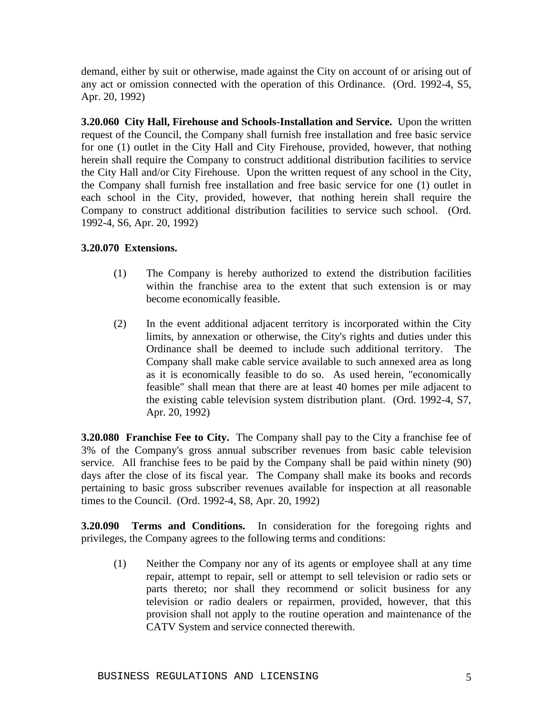demand, either by suit or otherwise, made against the City on account of or arising out of any act or omission connected with the operation of this Ordinance. (Ord. 1992-4, S5, Apr. 20, 1992)

**3.20.060 City Hall, Firehouse and Schools-Installation and Service.** Upon the written request of the Council, the Company shall furnish free installation and free basic service for one (1) outlet in the City Hall and City Firehouse, provided, however, that nothing herein shall require the Company to construct additional distribution facilities to service the City Hall and/or City Firehouse. Upon the written request of any school in the City, the Company shall furnish free installation and free basic service for one (1) outlet in each school in the City, provided, however, that nothing herein shall require the Company to construct additional distribution facilities to service such school. (Ord. 1992-4, S6, Apr. 20, 1992)

## **3.20.070 Extensions.**

- (1) The Company is hereby authorized to extend the distribution facilities within the franchise area to the extent that such extension is or may become economically feasible.
- (2) In the event additional adjacent territory is incorporated within the City limits, by annexation or otherwise, the City's rights and duties under this Ordinance shall be deemed to include such additional territory. The Company shall make cable service available to such annexed area as long as it is economically feasible to do so. As used herein, "economically feasible" shall mean that there are at least 40 homes per mile adjacent to the existing cable television system distribution plant. (Ord. 1992-4, S7, Apr. 20, 1992)

**3.20.080 Franchise Fee to City.** The Company shall pay to the City a franchise fee of 3% of the Company's gross annual subscriber revenues from basic cable television service. All franchise fees to be paid by the Company shall be paid within ninety (90) days after the close of its fiscal year. The Company shall make its books and records pertaining to basic gross subscriber revenues available for inspection at all reasonable times to the Council. (Ord. 1992-4, S8, Apr. 20, 1992)

**3.20.090 Terms and Conditions.** In consideration for the foregoing rights and privileges, the Company agrees to the following terms and conditions:

(1) Neither the Company nor any of its agents or employee shall at any time repair, attempt to repair, sell or attempt to sell television or radio sets or parts thereto; nor shall they recommend or solicit business for any television or radio dealers or repairmen, provided, however, that this provision shall not apply to the routine operation and maintenance of the CATV System and service connected therewith.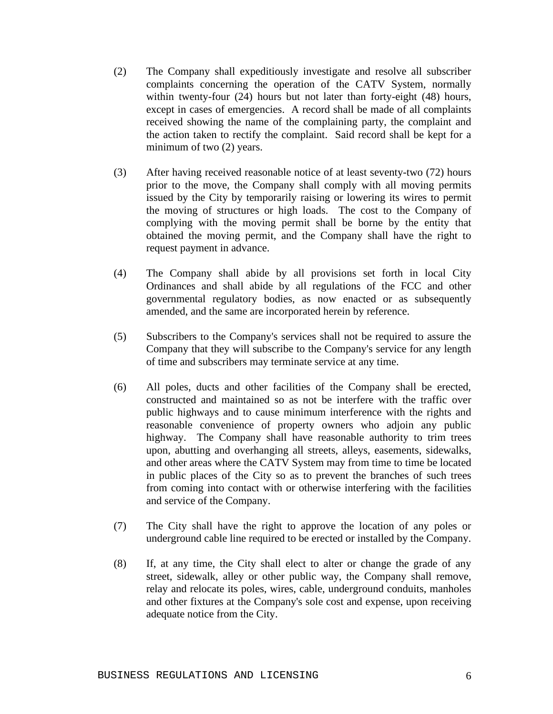- (2) The Company shall expeditiously investigate and resolve all subscriber complaints concerning the operation of the CATV System, normally within twenty-four (24) hours but not later than forty-eight (48) hours, except in cases of emergencies. A record shall be made of all complaints received showing the name of the complaining party, the complaint and the action taken to rectify the complaint. Said record shall be kept for a minimum of two  $(2)$  years.
- (3) After having received reasonable notice of at least seventy-two (72) hours prior to the move, the Company shall comply with all moving permits issued by the City by temporarily raising or lowering its wires to permit the moving of structures or high loads. The cost to the Company of complying with the moving permit shall be borne by the entity that obtained the moving permit, and the Company shall have the right to request payment in advance.
- (4) The Company shall abide by all provisions set forth in local City Ordinances and shall abide by all regulations of the FCC and other governmental regulatory bodies, as now enacted or as subsequently amended, and the same are incorporated herein by reference.
- (5) Subscribers to the Company's services shall not be required to assure the Company that they will subscribe to the Company's service for any length of time and subscribers may terminate service at any time.
- (6) All poles, ducts and other facilities of the Company shall be erected, constructed and maintained so as not be interfere with the traffic over public highways and to cause minimum interference with the rights and reasonable convenience of property owners who adjoin any public highway. The Company shall have reasonable authority to trim trees upon, abutting and overhanging all streets, alleys, easements, sidewalks, and other areas where the CATV System may from time to time be located in public places of the City so as to prevent the branches of such trees from coming into contact with or otherwise interfering with the facilities and service of the Company.
- (7) The City shall have the right to approve the location of any poles or underground cable line required to be erected or installed by the Company.
- (8) If, at any time, the City shall elect to alter or change the grade of any street, sidewalk, alley or other public way, the Company shall remove, relay and relocate its poles, wires, cable, underground conduits, manholes and other fixtures at the Company's sole cost and expense, upon receiving adequate notice from the City.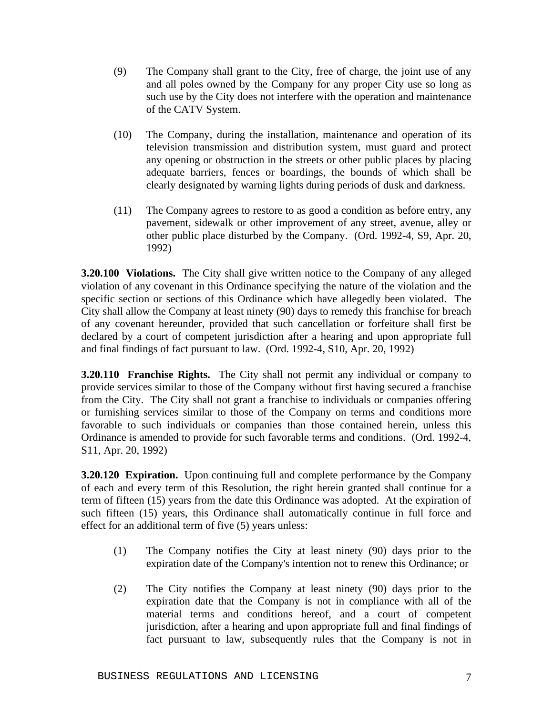- (9) The Company shall grant to the City, free of charge, the joint use of any and all poles owned by the Company for any proper City use so long as such use by the City does not interfere with the operation and maintenance of the CATV System.
- (10) The Company, during the installation, maintenance and operation of its television transmission and distribution system, must guard and protect any opening or obstruction in the streets or other public places by placing adequate barriers, fences or boardings, the bounds of which shall be clearly designated by warning lights during periods of dusk and darkness.
- (11) The Company agrees to restore to as good a condition as before entry, any pavement, sidewalk or other improvement of any street, avenue, alley or other public place disturbed by the Company. (Ord. 1992-4, S9, Apr. 20, 1992)

**3.20.100 Violations.** The City shall give written notice to the Company of any alleged violation of any covenant in this Ordinance specifying the nature of the violation and the specific section or sections of this Ordinance which have allegedly been violated. The City shall allow the Company at least ninety (90) days to remedy this franchise for breach of any covenant hereunder, provided that such cancellation or forfeiture shall first be declared by a court of competent jurisdiction after a hearing and upon appropriate full and final findings of fact pursuant to law. (Ord. 1992-4, S10, Apr. 20, 1992)

**3.20.110 Franchise Rights.** The City shall not permit any individual or company to provide services similar to those of the Company without first having secured a franchise from the City. The City shall not grant a franchise to individuals or companies offering or furnishing services similar to those of the Company on terms and conditions more favorable to such individuals or companies than those contained herein, unless this Ordinance is amended to provide for such favorable terms and conditions. (Ord. 1992-4, S11, Apr. 20, 1992)

**3.20.120 Expiration.** Upon continuing full and complete performance by the Company of each and every term of this Resolution, the right herein granted shall continue for a term of fifteen (15) years from the date this Ordinance was adopted. At the expiration of such fifteen (15) years, this Ordinance shall automatically continue in full force and effect for an additional term of five (5) years unless:

- (1) The Company notifies the City at least ninety (90) days prior to the expiration date of the Company's intention not to renew this Ordinance; or
- (2) The City notifies the Company at least ninety (90) days prior to the expiration date that the Company is not in compliance with all of the material terms and conditions hereof, and a court of competent jurisdiction, after a hearing and upon appropriate full and final findings of fact pursuant to law, subsequently rules that the Company is not in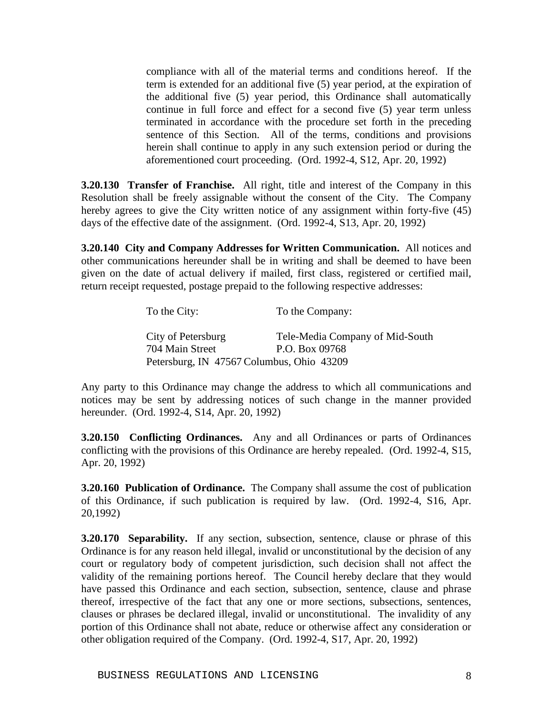compliance with all of the material terms and conditions hereof. If the term is extended for an additional five (5) year period, at the expiration of the additional five (5) year period, this Ordinance shall automatically continue in full force and effect for a second five (5) year term unless terminated in accordance with the procedure set forth in the preceding sentence of this Section. All of the terms, conditions and provisions herein shall continue to apply in any such extension period or during the aforementioned court proceeding. (Ord. 1992-4, S12, Apr. 20, 1992)

**3.20.130 Transfer of Franchise.** All right, title and interest of the Company in this Resolution shall be freely assignable without the consent of the City. The Company hereby agrees to give the City written notice of any assignment within forty-five (45) days of the effective date of the assignment. (Ord. 1992-4, S13, Apr. 20, 1992)

**3.20.140 City and Company Addresses for Written Communication.** All notices and other communications hereunder shall be in writing and shall be deemed to have been given on the date of actual delivery if mailed, first class, registered or certified mail, return receipt requested, postage prepaid to the following respective addresses:

| To the City:                              | To the Company:                 |
|-------------------------------------------|---------------------------------|
| City of Petersburg                        | Tele-Media Company of Mid-South |
| 704 Main Street                           | P.O. Box 09768                  |
| Petersburg, IN 47567 Columbus, Ohio 43209 |                                 |

Any party to this Ordinance may change the address to which all communications and notices may be sent by addressing notices of such change in the manner provided hereunder. (Ord. 1992-4, S14, Apr. 20, 1992)

**3.20.150 Conflicting Ordinances.** Any and all Ordinances or parts of Ordinances conflicting with the provisions of this Ordinance are hereby repealed. (Ord. 1992-4, S15, Apr. 20, 1992)

**3.20.160 Publication of Ordinance.** The Company shall assume the cost of publication of this Ordinance, if such publication is required by law. (Ord. 1992-4, S16, Apr. 20,1992)

**3.20.170 Separability.** If any section, subsection, sentence, clause or phrase of this Ordinance is for any reason held illegal, invalid or unconstitutional by the decision of any court or regulatory body of competent jurisdiction, such decision shall not affect the validity of the remaining portions hereof. The Council hereby declare that they would have passed this Ordinance and each section, subsection, sentence, clause and phrase thereof, irrespective of the fact that any one or more sections, subsections, sentences, clauses or phrases be declared illegal, invalid or unconstitutional. The invalidity of any portion of this Ordinance shall not abate, reduce or otherwise affect any consideration or other obligation required of the Company. (Ord. 1992-4, S17, Apr. 20, 1992)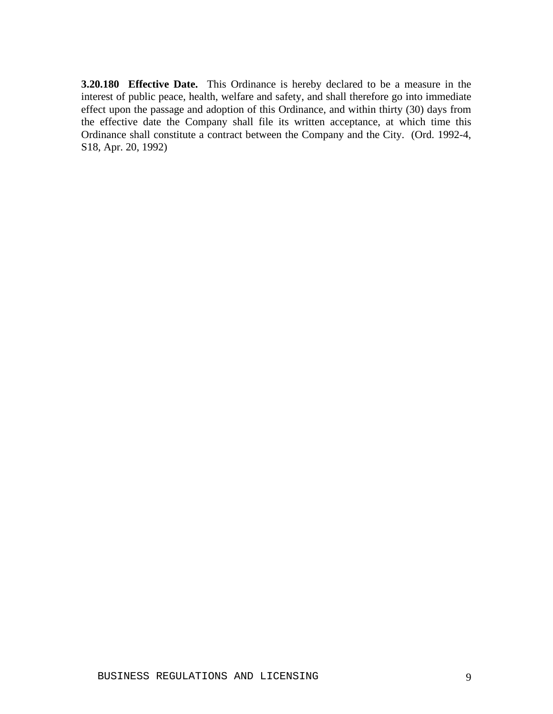**3.20.180 Effective Date.** This Ordinance is hereby declared to be a measure in the interest of public peace, health, welfare and safety, and shall therefore go into immediate effect upon the passage and adoption of this Ordinance, and within thirty (30) days from the effective date the Company shall file its written acceptance, at which time this Ordinance shall constitute a contract between the Company and the City. (Ord. 1992-4, S18, Apr. 20, 1992)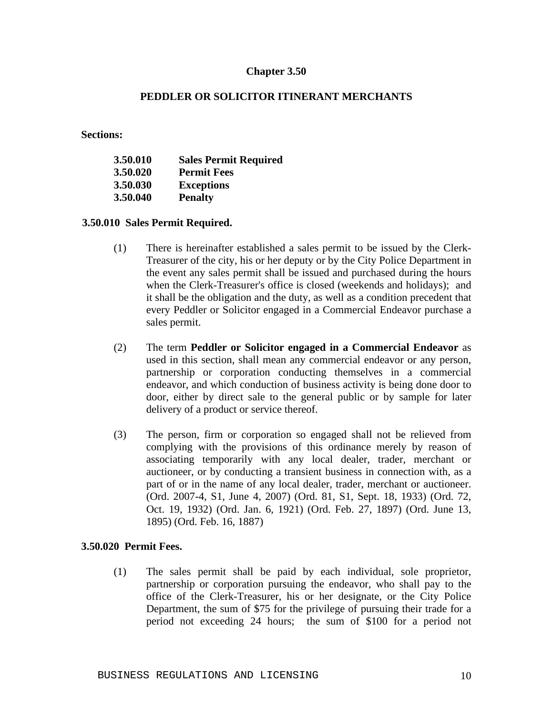#### **PEDDLER OR SOLICITOR ITINERANT MERCHANTS**

**Sections:**

| 3.50.010 | <b>Sales Permit Required</b> |
|----------|------------------------------|
| 3.50.020 | <b>Permit Fees</b>           |
| 3.50.030 | <b>Exceptions</b>            |
| 3.50.040 | <b>Penalty</b>               |

**3.50.010 Sales Permit Required.**

- (1) There is hereinafter established a sales permit to be issued by the Clerk-Treasurer of the city, his or her deputy or by the City Police Department in the event any sales permit shall be issued and purchased during the hours when the Clerk-Treasurer's office is closed (weekends and holidays); and it shall be the obligation and the duty, as well as a condition precedent that every Peddler or Solicitor engaged in a Commercial Endeavor purchase a sales permit.
- (2) The term **Peddler or Solicitor engaged in a Commercial Endeavor** as used in this section, shall mean any commercial endeavor or any person, partnership or corporation conducting themselves in a commercial endeavor, and which conduction of business activity is being done door to door, either by direct sale to the general public or by sample for later delivery of a product or service thereof.
- (3) The person, firm or corporation so engaged shall not be relieved from complying with the provisions of this ordinance merely by reason of associating temporarily with any local dealer, trader, merchant or auctioneer, or by conducting a transient business in connection with, as a part of or in the name of any local dealer, trader, merchant or auctioneer. (Ord. 2007-4, S1, June 4, 2007) (Ord. 81, S1, Sept. 18, 1933) (Ord. 72, Oct. 19, 1932) (Ord. Jan. 6, 1921) (Ord. Feb. 27, 1897) (Ord. June 13, 1895) (Ord. Feb. 16, 1887)

#### **3.50.020 Permit Fees.**

(1) The sales permit shall be paid by each individual, sole proprietor, partnership or corporation pursuing the endeavor, who shall pay to the office of the Clerk-Treasurer, his or her designate, or the City Police Department, the sum of \$75 for the privilege of pursuing their trade for a period not exceeding 24 hours; the sum of \$100 for a period not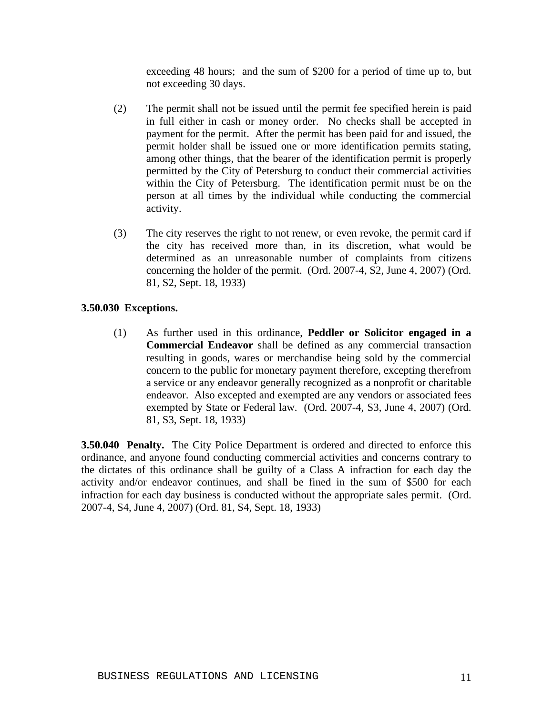exceeding 48 hours; and the sum of \$200 for a period of time up to, but not exceeding 30 days.

- (2) The permit shall not be issued until the permit fee specified herein is paid in full either in cash or money order. No checks shall be accepted in payment for the permit. After the permit has been paid for and issued, the permit holder shall be issued one or more identification permits stating, among other things, that the bearer of the identification permit is properly permitted by the City of Petersburg to conduct their commercial activities within the City of Petersburg. The identification permit must be on the person at all times by the individual while conducting the commercial activity.
- (3) The city reserves the right to not renew, or even revoke, the permit card if the city has received more than, in its discretion, what would be determined as an unreasonable number of complaints from citizens concerning the holder of the permit. (Ord. 2007-4, S2, June 4, 2007) (Ord. 81, S2, Sept. 18, 1933)

## **3.50.030 Exceptions.**

(1) As further used in this ordinance, **Peddler or Solicitor engaged in a Commercial Endeavor** shall be defined as any commercial transaction resulting in goods, wares or merchandise being sold by the commercial concern to the public for monetary payment therefore, excepting therefrom a service or any endeavor generally recognized as a nonprofit or charitable endeavor. Also excepted and exempted are any vendors or associated fees exempted by State or Federal law. (Ord. 2007-4, S3, June 4, 2007) (Ord. 81, S3, Sept. 18, 1933)

**3.50.040 Penalty.** The City Police Department is ordered and directed to enforce this ordinance, and anyone found conducting commercial activities and concerns contrary to the dictates of this ordinance shall be guilty of a Class A infraction for each day the activity and/or endeavor continues, and shall be fined in the sum of \$500 for each infraction for each day business is conducted without the appropriate sales permit. (Ord. 2007-4, S4, June 4, 2007) (Ord. 81, S4, Sept. 18, 1933)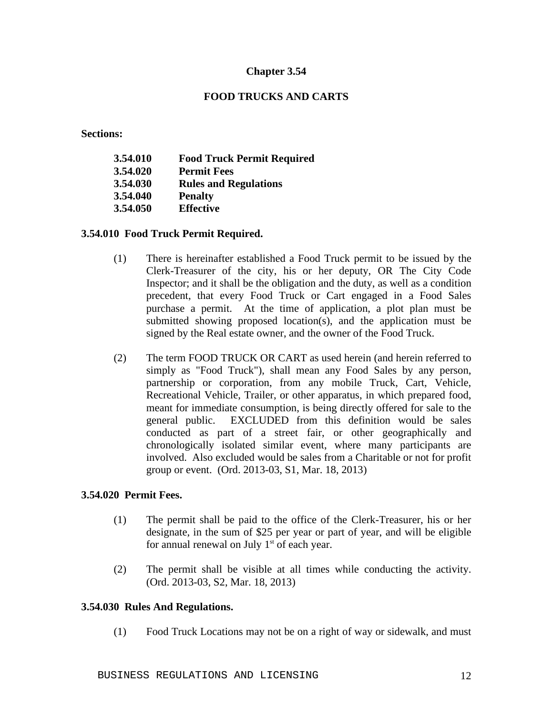## **FOOD TRUCKS AND CARTS**

**Sections:**

| 3.54.010 | <b>Food Truck Permit Required</b> |
|----------|-----------------------------------|
| 3.54.020 | <b>Permit Fees</b>                |
| 3.54.030 | <b>Rules and Regulations</b>      |
| 3.54.040 | <b>Penalty</b>                    |
| 3.54.050 | <b>Effective</b>                  |
|          |                                   |

## **3.54.010 Food Truck Permit Required.**

- (1) There is hereinafter established a Food Truck permit to be issued by the Clerk-Treasurer of the city, his or her deputy, OR The City Code Inspector; and it shall be the obligation and the duty, as well as a condition precedent, that every Food Truck or Cart engaged in a Food Sales purchase a permit. At the time of application, a plot plan must be submitted showing proposed location(s), and the application must be signed by the Real estate owner, and the owner of the Food Truck.
- (2) The term FOOD TRUCK OR CART as used herein (and herein referred to simply as "Food Truck"), shall mean any Food Sales by any person, partnership or corporation, from any mobile Truck, Cart, Vehicle, Recreational Vehicle, Trailer, or other apparatus, in which prepared food, meant for immediate consumption, is being directly offered for sale to the general public. EXCLUDED from this definition would be sales conducted as part of a street fair, or other geographically and chronologically isolated similar event, where many participants are involved. Also excluded would be sales from a Charitable or not for profit group or event. (Ord. 2013-03, S1, Mar. 18, 2013)

## **3.54.020 Permit Fees.**

- (1) The permit shall be paid to the office of the Clerk-Treasurer, his or her designate, in the sum of \$25 per year or part of year, and will be eligible for annual renewal on July  $1<sup>st</sup>$  of each year.
- (2) The permit shall be visible at all times while conducting the activity. (Ord. 2013-03, S2, Mar. 18, 2013)

## **3.54.030 Rules And Regulations.**

(1) Food Truck Locations may not be on a right of way or sidewalk, and must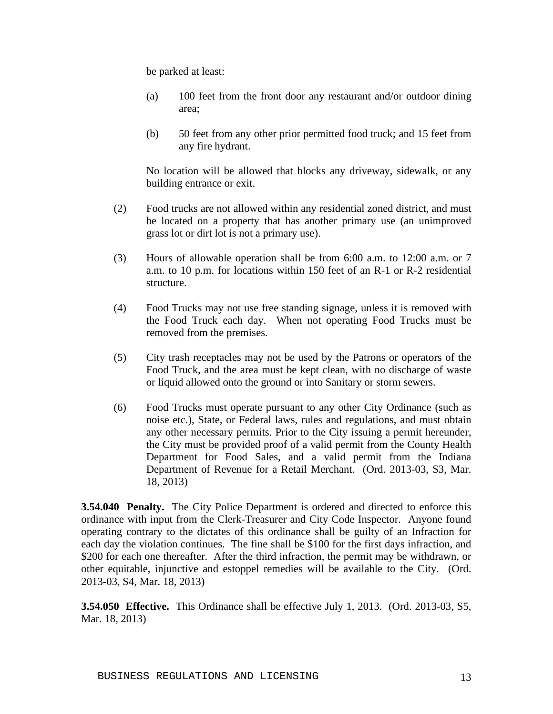be parked at least:

- (a) 100 feet from the front door any restaurant and/or outdoor dining area;
- (b) 50 feet from any other prior permitted food truck; and 15 feet from any fire hydrant.

No location will be allowed that blocks any driveway, sidewalk, or any building entrance or exit.

- (2) Food trucks are not allowed within any residential zoned district, and must be located on a property that has another primary use (an unimproved grass lot or dirt lot is not a primary use).
- (3) Hours of allowable operation shall be from 6:00 a.m. to 12:00 a.m. or 7 a.m. to 10 p.m. for locations within 150 feet of an R-1 or R-2 residential structure.
- (4) Food Trucks may not use free standing signage, unless it is removed with the Food Truck each day. When not operating Food Trucks must be removed from the premises.
- (5) City trash receptacles may not be used by the Patrons or operators of the Food Truck, and the area must be kept clean, with no discharge of waste or liquid allowed onto the ground or into Sanitary or storm sewers.
- (6) Food Trucks must operate pursuant to any other City Ordinance (such as noise etc.), State, or Federal laws, rules and regulations, and must obtain any other necessary permits. Prior to the City issuing a permit hereunder, the City must be provided proof of a valid permit from the County Health Department for Food Sales, and a valid permit from the Indiana Department of Revenue for a Retail Merchant. (Ord. 2013-03, S3, Mar. 18, 2013)

**3.54.040 Penalty.** The City Police Department is ordered and directed to enforce this ordinance with input from the Clerk-Treasurer and City Code Inspector. Anyone found operating contrary to the dictates of this ordinance shall be guilty of an Infraction for each day the violation continues. The fine shall be \$100 for the first days infraction, and \$200 for each one thereafter. After the third infraction, the permit may be withdrawn, or other equitable, injunctive and estoppel remedies will be available to the City. (Ord. 2013-03, S4, Mar. 18, 2013)

**3.54.050 Effective.** This Ordinance shall be effective July 1, 2013. (Ord. 2013-03, S5, Mar. 18, 2013)